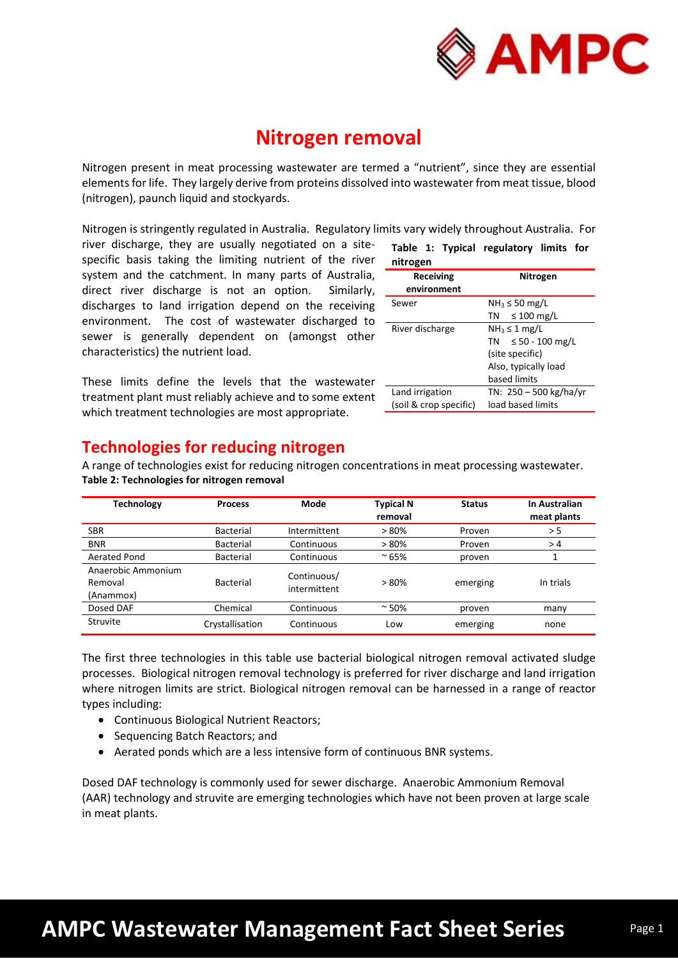

## **Nitrogen removal**

Nitrogen present in meat processing wastewater are termed a "nutrient", since they are essential elements for life. They largely derive from proteins dissolved into wastewater from meat tissue, blood (nitrogen), paunch liquid and stockyards.

Nitrogen is stringently regulated in Australia. Regulatory limits vary widely throughout Australia. For

river discharge, they are usually negotiated on a sitespecific basis taking the limiting nutrient of the river system and the catchment. In many parts of Australia, direct river discharge is not an option. Similarly, discharges to land irrigation depend on the receiving environment. The cost of wastewater discharged to sewer is generally dependent on (amongst other characteristics) the nutrient load.

These limits define the levels that the wastewater treatment plant must reliably achieve and to some extent which treatment technologies are most appropriate.

|          |  |  | Table 1: Typical regulatory limits for |  |
|----------|--|--|----------------------------------------|--|
| nitrogen |  |  |                                        |  |

| Receiving<br>environment | Nitrogen                     |
|--------------------------|------------------------------|
| Sewer                    | $NH3 \le 50$ mg/L            |
|                          | $\leq 100$ mg/L<br>TN -      |
| River discharge          | $NH3 \leq 1$ mg/L            |
|                          | $\leq 50 - 100$ mg/L<br>TN 1 |
|                          | (site specific)              |
|                          | Also, typically load         |
|                          | based limits                 |
| Land irrigation          | TN: 250 - 500 kg/ha/yr       |
| (soil & crop specific)   | load based limits            |

## **Technologies for reducing nitrogen**

A range of technologies exist for reducing nitrogen concentrations in meat processing wastewater. **Table 2: Technologies for nitrogen removal**

| <b>Technology</b>                          | <b>Process</b>   | Mode                        | <b>Typical N</b><br>removal | <b>Status</b> | In Australian<br>meat plants |
|--------------------------------------------|------------------|-----------------------------|-----------------------------|---------------|------------------------------|
| <b>SBR</b>                                 | <b>Bacterial</b> | Intermittent                | >80%                        | Proven        | > 5                          |
| <b>BNR</b>                                 | <b>Bacterial</b> | Continuous                  | >80%                        | Proven        | >4                           |
| Aerated Pond                               | <b>Bacterial</b> | Continuous                  | $~^{\sim}$ 65%              | proven        |                              |
| Anaerobic Ammonium<br>Removal<br>(Anammox) | <b>Bacterial</b> | Continuous/<br>intermittent | > 80%                       | emerging      | In trials                    |
| Dosed DAF                                  | Chemical         | Continuous                  | $~^{\sim}$ 50%              | proven        | many                         |
| Struvite                                   | Crystallisation  | Continuous                  | Low                         | emerging      | none                         |

The first three technologies in this table use bacterial biological nitrogen removal activated sludge processes. Biological nitrogen removal technology is preferred for river discharge and land irrigation where nitrogen limits are strict. Biological nitrogen removal can be harnessed in a range of reactor types including:

- Continuous Biological Nutrient Reactors;
- Sequencing Batch Reactors; and
- Aerated ponds which are a less intensive form of continuous BNR systems.

Dosed DAF technology is commonly used for sewer discharge. Anaerobic Ammonium Removal (AAR) technology and struvite are emerging technologies which have not been proven at large scale in meat plants.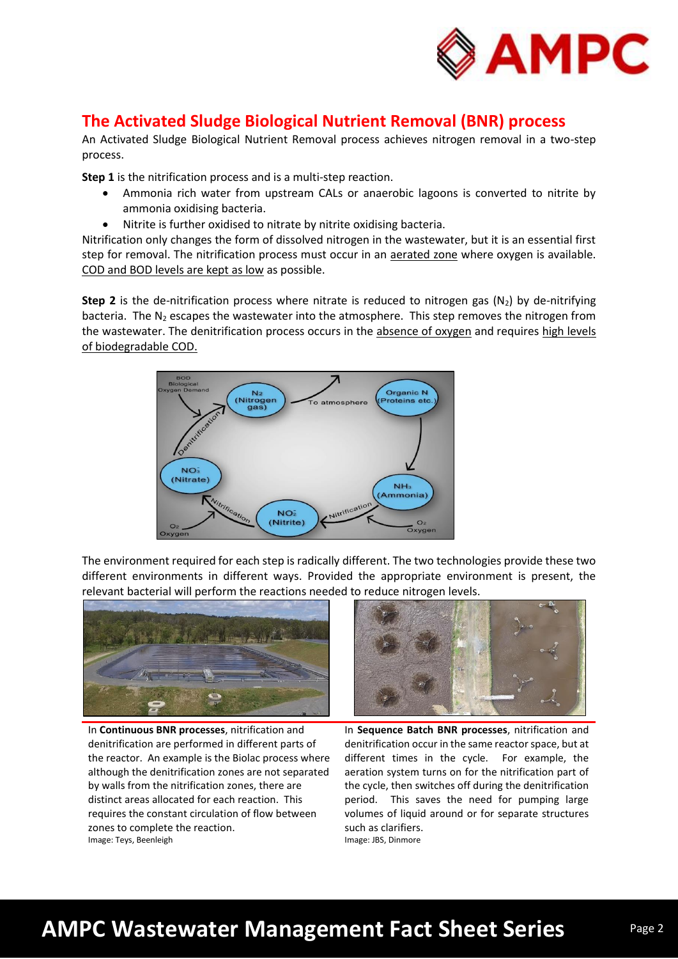

### **The Activated Sludge Biological Nutrient Removal (BNR) process**

An Activated Sludge Biological Nutrient Removal process achieves nitrogen removal in a two-step process.

**Step 1** is the nitrification process and is a multi-step reaction.

- Ammonia rich water from upstream CALs or anaerobic lagoons is converted to nitrite by ammonia oxidising bacteria.
- Nitrite is further oxidised to nitrate by nitrite oxidising bacteria.

Nitrification only changes the form of dissolved nitrogen in the wastewater, but it is an essential first step for removal. The nitrification process must occur in an aerated zone where oxygen is available. COD and BOD levels are kept as low as possible.

**Step 2** is the de-nitrification process where nitrate is reduced to nitrogen gas  $(N_2)$  by de-nitrifying bacteria. The  $N_2$  escapes the wastewater into the atmosphere. This step removes the nitrogen from the wastewater. The denitrification process occurs in the absence of oxygen and requires high levels of biodegradable COD.



The environment required for each step is radically different. The two technologies provide these two different environments in different ways. Provided the appropriate environment is present, the relevant bacterial will perform the reactions needed to reduce nitrogen levels.



In **Continuous BNR processes**, nitrification and denitrification are performed in different parts of the reactor. An example is the Biolac process where although the denitrification zones are not separated by walls from the nitrification zones, there are distinct areas allocated for each reaction. This requires the constant circulation of flow between zones to complete the reaction. Image: Teys, Beenleigh



In **Sequence Batch BNR processes**, nitrification and denitrification occur in the same reactor space, but at different times in the cycle. For example, the aeration system turns on for the nitrification part of the cycle, then switches off during the denitrification period. This saves the need for pumping large volumes of liquid around or for separate structures such as clarifiers.

Image: JBS, Dinmore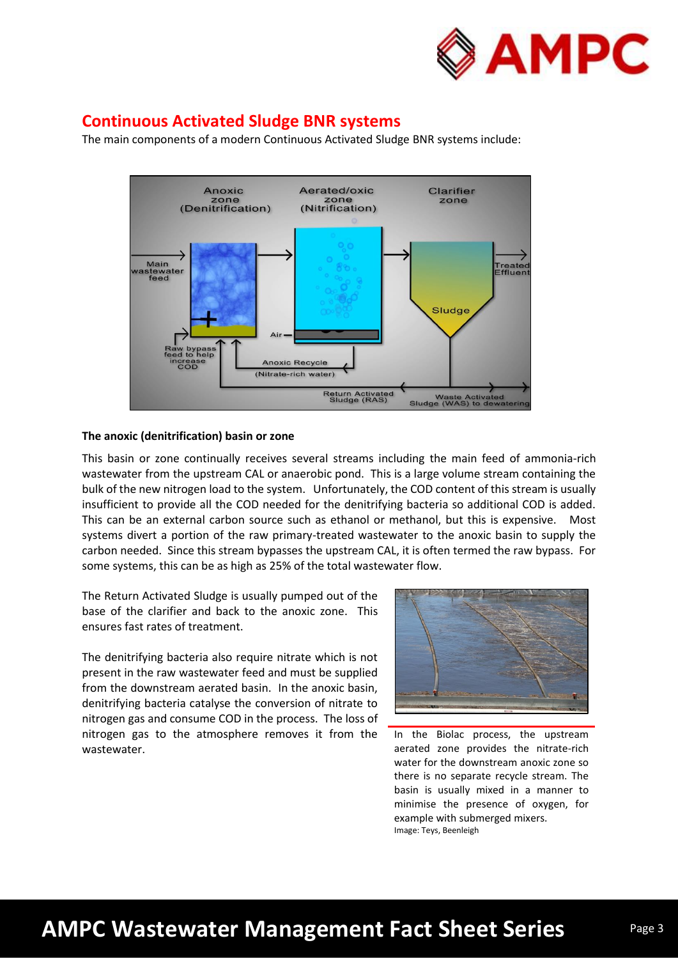

### **Continuous Activated Sludge BNR systems**

The main components of a modern Continuous Activated Sludge BNR systems include:



### **The anoxic (denitrification) basin or zone**

This basin or zone continually receives several streams including the main feed of ammonia-rich wastewater from the upstream CAL or anaerobic pond. This is a large volume stream containing the bulk of the new nitrogen load to the system. Unfortunately, the COD content of this stream is usually insufficient to provide all the COD needed for the denitrifying bacteria so additional COD is added. This can be an external carbon source such as ethanol or methanol, but this is expensive. Most systems divert a portion of the raw primary-treated wastewater to the anoxic basin to supply the carbon needed. Since this stream bypasses the upstream CAL, it is often termed the raw bypass. For some systems, this can be as high as 25% of the total wastewater flow.

The Return Activated Sludge is usually pumped out of the base of the clarifier and back to the anoxic zone. This ensures fast rates of treatment.

The denitrifying bacteria also require nitrate which is not present in the raw wastewater feed and must be supplied from the downstream aerated basin. In the anoxic basin, denitrifying bacteria catalyse the conversion of nitrate to nitrogen gas and consume COD in the process. The loss of nitrogen gas to the atmosphere removes it from the wastewater.



In the Biolac process, the upstream aerated zone provides the nitrate-rich water for the downstream anoxic zone so there is no separate recycle stream. The basin is usually mixed in a manner to minimise the presence of oxygen, for example with submerged mixers. Image: Teys, Beenleigh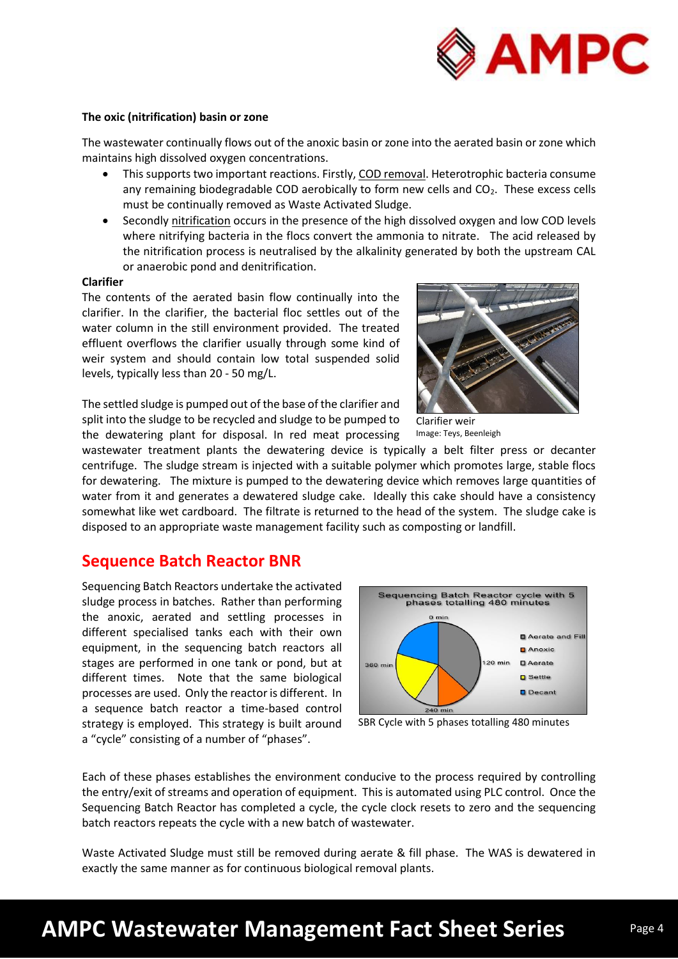

### **The oxic (nitrification) basin or zone**

The wastewater continually flows out of the anoxic basin or zone into the aerated basin or zone which maintains high dissolved oxygen concentrations.

- This supports two important reactions. Firstly, COD removal. Heterotrophic bacteria consume any remaining biodegradable COD aerobically to form new cells and CO<sub>2</sub>. These excess cells must be continually removed as Waste Activated Sludge.
- Secondly nitrification occurs in the presence of the high dissolved oxygen and low COD levels where nitrifying bacteria in the flocs convert the ammonia to nitrate. The acid released by the nitrification process is neutralised by the alkalinity generated by both the upstream CAL or anaerobic pond and denitrification.

### **Clarifier**

The contents of the aerated basin flow continually into the clarifier. In the clarifier, the bacterial floc settles out of the water column in the still environment provided. The treated effluent overflows the clarifier usually through some kind of weir system and should contain low total suspended solid levels, typically less than 20 - 50 mg/L.

The settled sludge is pumped out of the base of the clarifier and split into the sludge to be recycled and sludge to be pumped to the dewatering plant for disposal. In red meat processing



Clarifier weir Image: Teys, Beenleigh

wastewater treatment plants the dewatering device is typically a belt filter press or decanter centrifuge. The sludge stream is injected with a suitable polymer which promotes large, stable flocs for dewatering. The mixture is pumped to the dewatering device which removes large quantities of water from it and generates a dewatered sludge cake. Ideally this cake should have a consistency somewhat like wet cardboard. The filtrate is returned to the head of the system. The sludge cake is disposed to an appropriate waste management facility such as composting or landfill.

### **Sequence Batch Reactor BNR**

Sequencing Batch Reactors undertake the activated sludge process in batches. Rather than performing the anoxic, aerated and settling processes in different specialised tanks each with their own equipment, in the sequencing batch reactors all stages are performed in one tank or pond, but at different times. Note that the same biological processes are used. Only the reactor is different. In a sequence batch reactor a time-based control strategy is employed. This strategy is built around a "cycle" consisting of a number of "phases".



SBR Cycle with 5 phases totalling 480 minutes

Each of these phases establishes the environment conducive to the process required by controlling the entry/exit of streams and operation of equipment. This is automated using PLC control. Once the Sequencing Batch Reactor has completed a cycle, the cycle clock resets to zero and the sequencing batch reactors repeats the cycle with a new batch of wastewater.

Waste Activated Sludge must still be removed during aerate & fill phase. The WAS is dewatered in exactly the same manner as for continuous biological removal plants.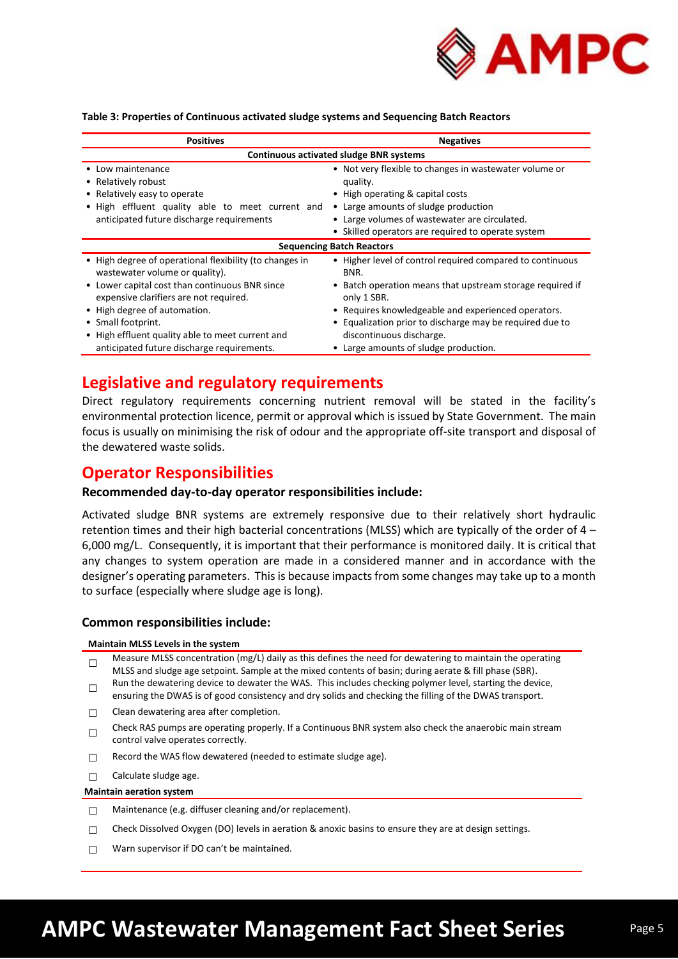

#### **Table 3: Properties of Continuous activated sludge systems and Sequencing Batch Reactors**

| <b>Positives</b>                                                                          | <b>Negatives</b>                                                         |  |  |  |  |
|-------------------------------------------------------------------------------------------|--------------------------------------------------------------------------|--|--|--|--|
| <b>Continuous activated sludge BNR systems</b>                                            |                                                                          |  |  |  |  |
| • Low maintenance                                                                         | • Not very flexible to changes in wastewater volume or                   |  |  |  |  |
| • Relatively robust                                                                       | quality.                                                                 |  |  |  |  |
| • Relatively easy to operate                                                              | • High operating & capital costs                                         |  |  |  |  |
| . High effluent quality able to meet current and                                          | • Large amounts of sludge production                                     |  |  |  |  |
| anticipated future discharge requirements                                                 | • Large volumes of wastewater are circulated.                            |  |  |  |  |
|                                                                                           | • Skilled operators are required to operate system                       |  |  |  |  |
| <b>Sequencing Batch Reactors</b>                                                          |                                                                          |  |  |  |  |
| • High degree of operational flexibility (to changes in<br>wastewater volume or quality). | • Higher level of control required compared to continuous<br>BNR.        |  |  |  |  |
| • Lower capital cost than continuous BNR since<br>expensive clarifiers are not required.  | • Batch operation means that upstream storage required if<br>only 1 SBR. |  |  |  |  |
| • High degree of automation.                                                              | • Requires knowledgeable and experienced operators.                      |  |  |  |  |
| • Small footprint.                                                                        | • Equalization prior to discharge may be required due to                 |  |  |  |  |
| • High effluent quality able to meet current and                                          | discontinuous discharge.                                                 |  |  |  |  |
| anticipated future discharge requirements.                                                | • Large amounts of sludge production.                                    |  |  |  |  |

### **Legislative and regulatory requirements**

Direct regulatory requirements concerning nutrient removal will be stated in the facility's environmental protection licence, permit or approval which is issued by State Government. The main focus is usually on minimising the risk of odour and the appropriate off-site transport and disposal of the dewatered waste solids.

### **Operator Responsibilities**

### **Recommended day-to-day operator responsibilities include:**

Activated sludge BNR systems are extremely responsive due to their relatively short hydraulic retention times and their high bacterial concentrations (MLSS) which are typically of the order of 4 – 6,000 mg/L. Consequently, it is important that their performance is monitored daily. It is critical that any changes to system operation are made in a considered manner and in accordance with the designer's operating parameters. This is because impacts from some changes may take up to a month to surface (especially where sludge age is long).

### **Common responsibilities include:**

#### **Maintain MLSS Levels in the system**

- □ Measure MLSS concentration (mg/L) daily as this defines the need for dewatering to maintain the operating MLSS and sludge age setpoint. Sample at the mixed contents of basin; during aerate & fill phase (SBR).
- □ Run the dewatering device to dewater the WAS. This includes checking polymer level, starting the device, ensuring the DWAS is of good consistency and dry solids and checking the filling of the DWAS transport.
- $\Box$  Clean dewatering area after completion.
- □ Check RAS pumps are operating properly. If a Continuous BNR system also check the anaerobic main stream control valve operates correctly.
- □ Record the WAS flow dewatered (needed to estimate sludge age).
- $\Box$  Calculate sludge age.

### **Maintain aeration system**

- □ Maintenance (e.g. diffuser cleaning and/or replacement).
- $\Box$  Check Dissolved Oxygen (DO) levels in aeration & anoxic basins to ensure they are at design settings.
- $\Box$  Warn supervisor if DO can't be maintained.